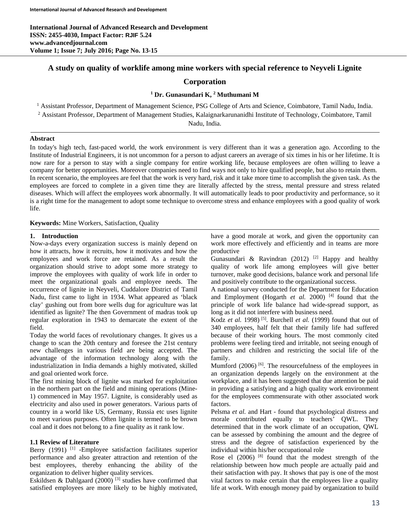# **A study on quality of worklife among mine workers with special reference to Neyveli Lignite**

# **Corporation**

# **<sup>1</sup> Dr. Gunasundari K, 2 Muthumani M**

<sup>1</sup> Assistant Professor, Department of Management Science, PSG College of Arts and Science, Coimbatore, Tamil Nadu, India. <sup>2</sup> Assistant Professor, Department of Management Studies, Kalaignarkarunanidhi Institute of Technology, Coimbatore, Tamil

Nadu, India.

## **Abstract**

In today's high tech, fast-paced world, the work environment is very different than it was a generation ago. According to the Institute of Industrial Engineers, it is not uncommon for a person to adjust careers an average of six times in his or her lifetime. It is now rare for a person to stay with a single company for entire working life, because employees are often willing to leave a company for better opportunities. Moreover companies need to find ways not only to hire qualified people, but also to retain them. In recent scenario, the employees are feel that the work is very hard, risk and it take more time to accomplish the given task. As the employees are forced to complete in a given time they are literally affected by the stress, mental pressure and stress related diseases. Which will affect the employees work abnormally. It will automatically leads to poor productivity and performance, so it is a right time for the management to adopt some technique to overcome stress and enhance employees with a good quality of work life.

**Keywords:** Mine Workers, Satisfaction, Quality

#### **1. Introduction**

Now-a-days every organization success is mainly depend on how it attracts, how it recruits, how it motivates and how the employees and work force are retained. As a result the organization should strive to adopt some more strategy to improve the employees with quality of work life in order to meet the organizational goals and employee needs. The occurrence of lignite in Neyveli, Cuddalore District of Tamil Nadu, first came to light in 1934. What appeared as 'black clay' gushing out from bore wells dug for agriculture was lat identified as lignite? The then Government of madras took up regular exploration in 1943 to demarcate the extent of the field.

Today the world faces of revolutionary changes. It gives us a change to scan the 20th century and foresee the 21st century new challenges in various field are being accepted. The advantage of the information technology along with the industrialization in India demands a highly motivated, skilled and goal oriented work force.

The first mining block of lignite was marked for exploitation in the northern part on the field and mining operations (Mine-1) commenced in May 1957. Lignite, is considerably used as electricity and also used in power generators. Various parts of country in a world like US, Germany, Russia etc uses lignite to meet various purposes. Often lignite is termed to be brown coal and it does not belong to a fine quality as it rank low.

## **1.1 Review of Literature**

Berry (1991) <sup>[1]</sup> -Employee satisfaction facilitates superior performance and also greater attraction and retention of the best employees, thereby enhancing the ability of the organization to deliver higher quality services.

Eskildsen & Dahlgaard  $(2000)$ <sup>[3]</sup> studies have confirmed that satisfied employees are more likely to be highly motivated,

have a good morale at work, and given the opportunity can work more effectively and efficiently and in teams are more productive

Gunasundari & Ravindran (2012) <sup>[2]</sup> Happy and healthy quality of work life among employees will give better turnover, make good decisions, balance work and personal life and positively contribute to the organizational success.

A national survey conducted for the Department for Education and Employment (Hogarth *et al.* 2000)<sup>[4]</sup> found that the principle of work life balance had wide-spread support, as long as it did not interfere with business need.

Kodz *et al.* 1998)<sup>[5]</sup>. Burchell *et al.* (1999) found that out of 340 employees, half felt that their family life had suffered because of their working hours. The most commonly cited problems were feeling tired and irritable, not seeing enough of partners and children and restricting the social life of the family.

Mumford (2006)<sup>[6]</sup>. The resourcefulness of the employees in an organization depends largely on the environment at the workplace, and it has been suggested that due attention be paid in providing a satisfying and a high quality work environment for the employees commensurate with other associated work factors.

Pelsma *et al.* and Hart - found that psychological distress and morale contributed equally to teachers' QWL. They determined that in the work climate of an occupation, QWL can be assessed by combining the amount and the degree of stress and the degree of satisfaction experienced by the individual within his/her occupational role

Rose el  $(2006)$  <sup>[8]</sup> found that the modest strength of the relationship between how much people are actually paid and their satisfaction with pay. It shows that pay is one of the most vital factors to make certain that the employees live a quality life at work. With enough money paid by organization to build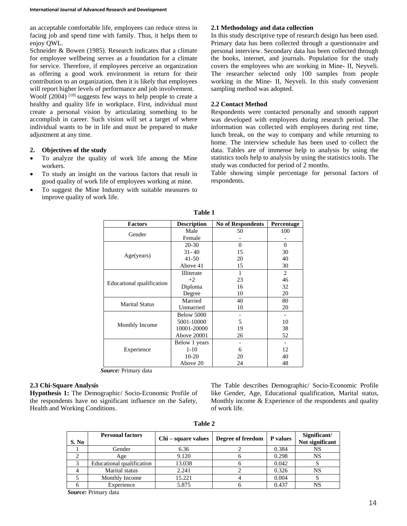an acceptable comfortable life, employees can reduce stress in facing job and spend time with family. Thus, it helps them to enjoy QWL.

Schneider & Bowen (1985). Research indicates that a climate for employee wellbeing serves as a foundation for a climate for service. Therefore, if employees perceive an organization as offering a good work environment in return for their contribution to an organization, then it is likely that employees will report higher levels of performance and job involvement.

Woolf  $(2004)$  <sup>[10]</sup> suggests few ways to help people to create a healthy and quality life in workplace. First, individual must create a personal vision by articulating something to be accomplish in career. Such vision will set a target of where individual wants to be in life and must be prepared to make adjustment at any time.

#### **2. Objectives of the study**

- To analyze the quality of work life among the Mine workers.
- To study an insight on the various factors that result in good quality of work life of employees working at mine.
- To suggest the Mine Industry with suitable measures to improve quality of work life.

## **2.1 Methodology and data collection**

In this study descriptive type of research design has been used. Primary data has been collected through a questionnaire and personal interview. Secondary data has been collected through the books, internet, and journals. Population for the study covers the employees who are working in Mine- II, Neyveli. The researcher selected only 100 samples from people working in the Mine- II, Neyveli. In this study convenient sampling method was adopted.

## **2.2 Contact Method**

Respondents were contacted personally and smooth rapport was developed with employees during research period. The information was collected with employees during rest time, lunch break, on the way to company and while returning to home. The interview schedule has been used to collect the data. Tables are of immense help to analysis by using the statistics tools help to analysis by using the statistics tools. The study was conducted for period of 2 months.

Table showing simple percentage for personal factors of respondents.

| <b>Factors</b>            | <b>Description</b> | <b>No of Respondents</b> | Percentage |
|---------------------------|--------------------|--------------------------|------------|
| Gender                    | Male               | 50                       | 100        |
|                           | Female             |                          |            |
| Age(years)                | $20 - 30$          | $\Omega$                 | $\theta$   |
|                           | $31 - 40$          | 15                       | 30         |
|                           | $41 - 50$          | 20                       | 40         |
|                           | Above 41           | 15                       | 30         |
| Educational qualification | <b>Illiterate</b>  | 1                        | 2          |
|                           | $+2$               | 23                       | 46         |
|                           | Diploma            | 16                       | 32         |
|                           | Degree             | 10                       | 20         |
| <b>Marital Status</b>     | Married            | 40                       | 80         |
|                           | Unmarried          | 10                       | 20         |
| Monthly Income            | Below 5000         |                          |            |
|                           | 5001-10000         | 5                        | 10         |
|                           | 10001-20000        | 19                       | 38         |
|                           | Above 20001        | 26                       | 52         |
| Experience                | Below 1 years      |                          |            |
|                           | $1-10$             | 6                        | 12         |
|                           | $10-20$            | 20                       | 40         |
|                           | Above 20           | 24                       | 48         |

**Table 1**

*Source:* Primary data

#### **2.3 Chi-Square Analysis**

**Hypothesis 1:** The Demographic/ Socio-Economic Profile of the respondents have no significant influence on the Safety, Health and Working Conditions.

The Table describes Demographic/ Socio-Economic Profile like Gender, Age, Educational qualification, Marital status, Monthly income & Experience of the respondents and quality of work life.

| n. |  |
|----|--|
|----|--|

| S. No | <b>Personal factors</b>   | Chi – square values | Degree of freedom | P values | Significant/<br>Not significant |
|-------|---------------------------|---------------------|-------------------|----------|---------------------------------|
|       | Gender                    | 6.36                |                   | 0.384    | NS                              |
|       | Age                       | 9.120               |                   | 0.298    | NS                              |
|       | Educational qualification | 13.038              |                   | 0.042    | د،                              |
|       | Marital status            | 2.241               |                   | 0.326    | NS                              |
|       | Monthly Income            | 15.221              |                   | 0.004    | د،                              |
|       | Experience                | 5.875               |                   | 0.437    | NS                              |

*Source:* Primary data